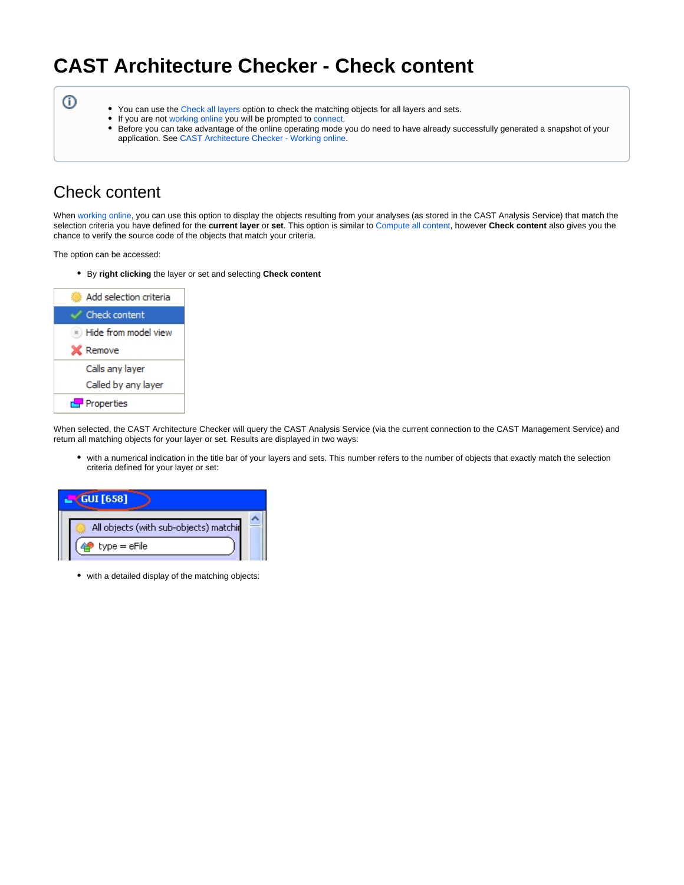# **CAST Architecture Checker - Check content**

⊕

- You can use the [Check all layers](https://doc.castsoftware.com/display/DOCCOM/CAST+Architecture+Checker+-+Compute+all+content) option to check the matching objects for all layers and sets.
- $\bullet$ If you are not [working online](https://doc.castsoftware.com/display/DOCCOM/CAST+Architecture+Checker+-+Working+online) you will be prompted to [connect](https://doc.castsoftware.com/display/DOCCOM/CAST+Architecture+Checker+-+Connect+and+select+application).
- Before you can take advantage of the online operating mode you do need to have already successfully generated a snapshot of your application. See [CAST Architecture Checker - Working online.](https://doc.castsoftware.com/display/DOCCOM/CAST+Architecture+Checker+-+Working+online#CASTArchitectureCheckerWorkingonline-snapshot)

## Check content

When [working online,](https://doc.castsoftware.com/display/DOCCOM/CAST+Architecture+Checker+-+Working+online) you can use this option to display the objects resulting from your analyses (as stored in the CAST Analysis Service) that match the selection criteria you have defined for the **current layer** or **set**. This option is similar to [Compute all content](https://doc.castsoftware.com/display/DOCCOM/CAST+Architecture+Checker+-+Compute+all+content), however **Check content** also gives you the chance to verify the source code of the objects that match your criteria.

The option can be accessed:

By **right clicking** the layer or set and selecting **Check content**



When selected, the CAST Architecture Checker will query the CAST Analysis Service (via the current connection to the CAST Management Service) and return all matching objects for your layer or set. Results are displayed in two ways:

with a numerical indication in the title bar of your layers and sets. This number refers to the number of objects that exactly match the selection criteria defined for your layer or set:

| <b>GUI</b> [658]                       |  |
|----------------------------------------|--|
| All objects (with sub-objects) matchir |  |
| $type = eFile$                         |  |

• with a detailed display of the matching objects: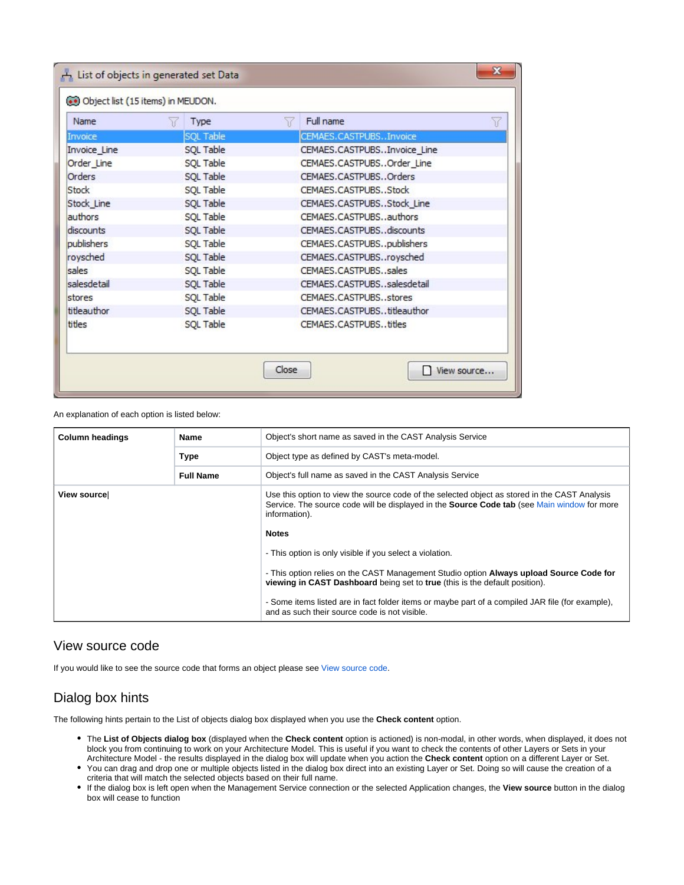| Name          | 56<br>Type       | Full name<br>77             | Y |
|---------------|------------------|-----------------------------|---|
| Invoice       | <b>SQL Table</b> | CEMAES.CASTPUBSInvoice      |   |
| Invoice Line  | SQL Table        | CEMAES.CASTPUBSInvoice Line |   |
| Order_Line    | SQL Table        | CEMAES.CASTPUBSOrder Line   |   |
| <b>Orders</b> | SQL Table        | CEMAES.CASTPUBSOrders       |   |
| Stock         | SQL Table        | CEMAES.CASTPUBSStock        |   |
| Stock Line    | SQL Table        | CEMAES.CASTPUBSStock Line   |   |
| authors       | SQL Table        | CEMAES.CASTPUBSauthors      |   |
| discounts     | SQL Table        | CEMAES.CASTPUBSdiscounts    |   |
| publishers    | SQL Table        | CEMAES.CASTPUBSpublishers   |   |
| roysched      | SQL Table        | CEMAES.CASTPUBSroysched     |   |
| sales         | SQL Table        | CEMAES.CASTPUBSsales        |   |
| salesdetail   | SQL Table        | CEMAES.CASTPUBSsalesdetail  |   |
| stores        | SQL Table        | CEMAES.CASTPUBSstores       |   |
| titleauthor   | SQL Table        | CEMAES.CASTPUBStitleauthor  |   |
| titles        | SQL Table        | CEMAES.CASTPUBStitles       |   |

An explanation of each option is listed below:

| <b>Column headings</b> | Name             | Object's short name as saved in the CAST Analysis Service                                                                                                                                                                                                                                                                                                                                                                                                                                                                                                                                                                              |
|------------------------|------------------|----------------------------------------------------------------------------------------------------------------------------------------------------------------------------------------------------------------------------------------------------------------------------------------------------------------------------------------------------------------------------------------------------------------------------------------------------------------------------------------------------------------------------------------------------------------------------------------------------------------------------------------|
|                        | <b>Type</b>      | Object type as defined by CAST's meta-model.                                                                                                                                                                                                                                                                                                                                                                                                                                                                                                                                                                                           |
|                        | <b>Full Name</b> | Object's full name as saved in the CAST Analysis Service                                                                                                                                                                                                                                                                                                                                                                                                                                                                                                                                                                               |
| View sourcel           |                  | Use this option to view the source code of the selected object as stored in the CAST Analysis<br>Service. The source code will be displayed in the <b>Source Code tab</b> (see Main window for more<br>information).<br><b>Notes</b><br>- This option is only visible if you select a violation.<br>- This option relies on the CAST Management Studio option <b>Always upload Source Code for</b><br>viewing in CAST Dashboard being set to true (this is the default position).<br>- Some items listed are in fact folder items or maybe part of a compiled JAR file (for example),<br>and as such their source code is not visible. |

#### View source code

If you would like to see the source code that forms an object please see [View source code.](https://doc.castsoftware.com/display/DOCCOM/CAST+Architecture+Checker+-+View+source+code)

### Dialog box hints

The following hints pertain to the List of objects dialog box displayed when you use the **Check content** option.

- The **List of Objects dialog box** (displayed when the **Check content** option is actioned) is non-modal, in other words, when displayed, it does not block you from continuing to work on your Architecture Model. This is useful if you want to check the contents of other Layers or Sets in your Architecture Model - the results displayed in the dialog box will update when you action the **Check content** option on a different Layer or Set.
- You can drag and drop one or multiple objects listed in the dialog box direct into an existing Layer or Set. Doing so will cause the creation of a criteria that will match the selected objects based on their full name.
- If the dialog box is left open when the Management Service connection or the selected Application changes, the **View source** button in the dialog box will cease to function